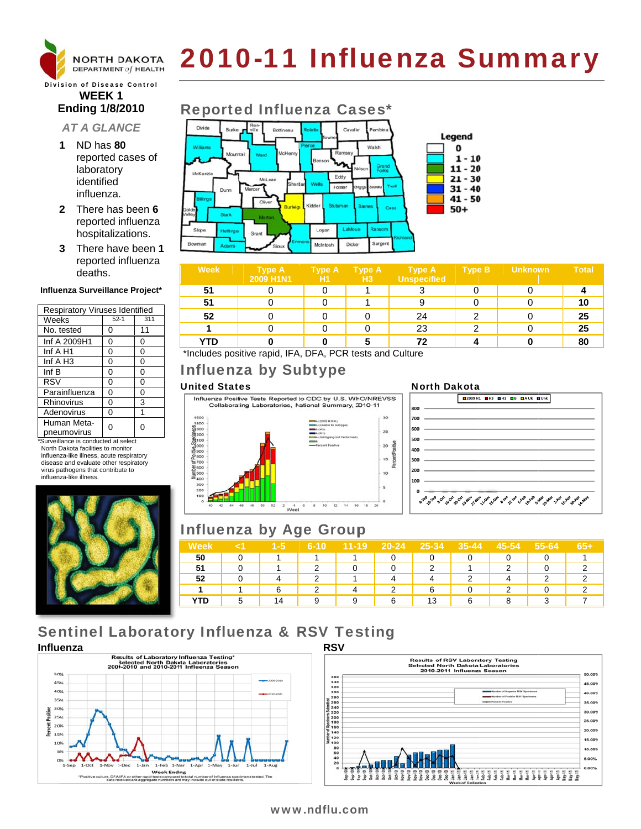

# 2010-11 Influenza Summary

**Division of Disease Control WEEK1 Ending 1/8/2010** 

# **AT A GLANCE**

- 1 ND has 80 reported cases of laboratory identified influenza.
- 2 There has been 6 reported influenza hospitalizations.
- 3 There have been 1 reported influenza deaths.

### Influenza Surveillance Project\*

| <b>Respiratory Viruses Identified</b> |        |     |  |  |  |  |
|---------------------------------------|--------|-----|--|--|--|--|
| Weeks                                 | $52-1$ | 311 |  |  |  |  |
| No. tested                            | 0      | 11  |  |  |  |  |
| Inf A 2009H1                          | 0      | 0   |  |  |  |  |
| Inf A H1                              | 0      | 0   |  |  |  |  |
| Inf $A$ H <sub>3</sub>                | 0      | 0   |  |  |  |  |
| Inf $B$                               | 0      | 0   |  |  |  |  |
| <b>RSV</b>                            | 0      | 0   |  |  |  |  |
| Parainfluenza                         | 0      | 0   |  |  |  |  |
| Rhinovirus                            | 0      | 3   |  |  |  |  |
| Adenovirus                            | 0      | 1   |  |  |  |  |
| Human Meta-                           | ი      | 0   |  |  |  |  |
| pneumovirus                           |        |     |  |  |  |  |

\*Surveillance is conducted at select North Dakota facilities to monitor influenza-like illness, acute respiratory disease and evaluate other respiratory virus pathogens that contribute to influenza-like illness.



#### **Reported Influenza Cases\*** Burke p Bottineau Cavalie Legend Walsh  $\mathbf 0$ Mount  $1 - 10$  $11 - 20$ Mek. Eddy  $21 - 30$ McLea Foster  $31 - 40$ Dunn  $41 - 50$ Oliver  $50+$ Stark Slope Logan EaMo tettin Grant B Sargent Dicke) McIntosh

| <b>Week</b> | <b>Type A</b><br>2009 H1N1 | <b>Type A</b><br>H1 | <b>Type A</b><br>H <sub>3</sub> | <b>Type A</b><br>Unspecified | <b>Type B</b> | Unknown | <b>Total</b> |
|-------------|----------------------------|---------------------|---------------------------------|------------------------------|---------------|---------|--------------|
| 51          |                            |                     |                                 |                              |               |         |              |
| 51          |                            |                     |                                 | 9                            |               |         |              |
| 52          |                            |                     |                                 | 24                           |               |         | 25           |
|             |                            |                     |                                 | 23                           | ົ             |         | 25           |
| YTD         |                            |                     |                                 | 72                           |               |         | 80           |

\*Includes positive rapid, IFA, DFA, PCR tests and Culture

# **Influenza by Subtype**

## **United States**



# **Influenza by Age Group**

| Week |    | $1 - 5$ | $6 - 10$ | $11 - 19$ | $20 - 24$ | 25-34 | $35 - 44$ | 45-54 | 55-64 | $65+$ |
|------|----|---------|----------|-----------|-----------|-------|-----------|-------|-------|-------|
| 50   |    |         |          |           | O         |       |           |       |       |       |
| 51   |    |         | ◠        |           | 0         |       |           | ⌒     |       |       |
| 52   |    |         | っ        |           |           |       |           |       | ◠     |       |
|      |    | 6       | 2        |           | っ         | 6     |           | ◠     |       |       |
| YTD  | г, | 14      | 9        | 9         | 6         | 13    | 6         |       | 2     |       |

# **Sentinel Laboratory Influenza & RSV Testing**





## **North Dakota**



## www.ndflu.com